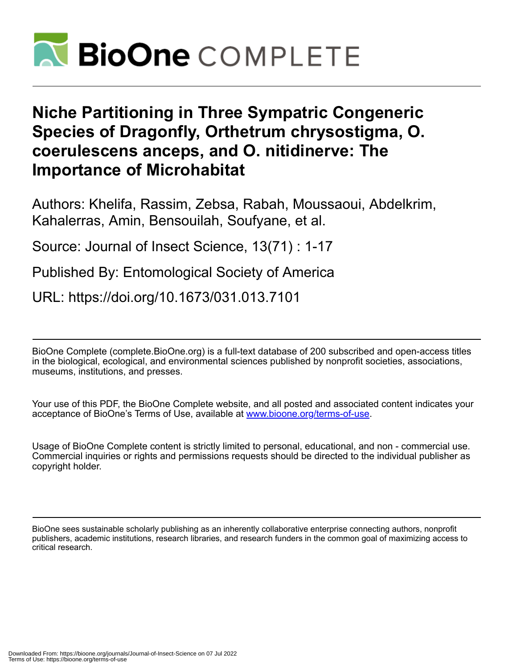

# **Niche Partitioning in Three Sympatric Congeneric Species of Dragonfly, Orthetrum chrysostigma, O. coerulescens anceps, and O. nitidinerve: The Importance of Microhabitat**

Authors: Khelifa, Rassim, Zebsa, Rabah, Moussaoui, Abdelkrim, Kahalerras, Amin, Bensouilah, Soufyane, et al.

Source: Journal of Insect Science, 13(71) : 1-17

Published By: Entomological Society of America

URL: https://doi.org/10.1673/031.013.7101

BioOne Complete (complete.BioOne.org) is a full-text database of 200 subscribed and open-access titles in the biological, ecological, and environmental sciences published by nonprofit societies, associations, museums, institutions, and presses.

Your use of this PDF, the BioOne Complete website, and all posted and associated content indicates your acceptance of BioOne's Terms of Use, available at www.bioone.org/terms-of-use.

Usage of BioOne Complete content is strictly limited to personal, educational, and non - commercial use. Commercial inquiries or rights and permissions requests should be directed to the individual publisher as copyright holder.

BioOne sees sustainable scholarly publishing as an inherently collaborative enterprise connecting authors, nonprofit publishers, academic institutions, research libraries, and research funders in the common goal of maximizing access to critical research.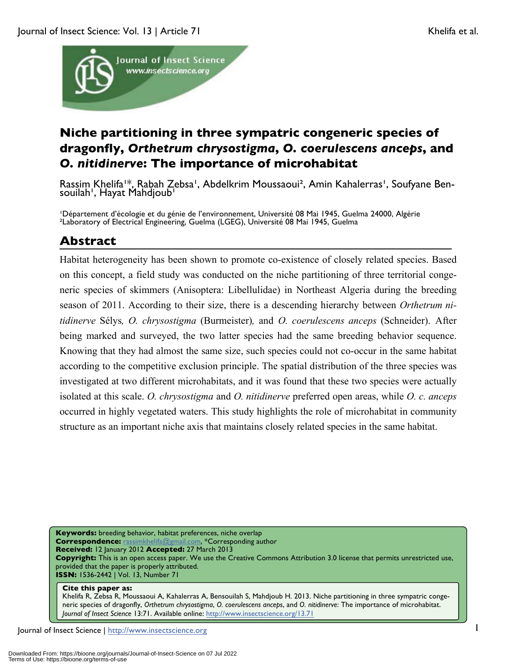

# **Niche partitioning in three sympatric congeneric species of dragonfly,** *Orthetrum chrysostigma***,** *O. coerulescens anceps***, and**  *O. nitidinerve***: The importance of microhabitat**

Rassim Khelifa<sup>1\*</sup>, Rabah Zebsa<sup>1</sup>, Abdelkrim Moussaoui<sup>2</sup>, Amin Kahalerras<sup>1</sup>, Soufyane Ben- souilah<sup>1</sup>, Hayat Mahdjoub<sup>1</sup>

'Département d'écologie et du génie de l'environnement, Université 08 Mai 1945, Guelma 24000, Algérie ²Laboratory of Electrical Engineering, Guelma (LGEG), Université 08 Mai 1945, Guelma

# **Abstract**

Habitat heterogeneity has been shown to promote co-existence of closely related species. Based on this concept, a field study was conducted on the niche partitioning of three territorial congeneric species of skimmers (Anisoptera: Libellulidae) in Northeast Algeria during the breeding season of 2011. According to their size, there is a descending hierarchy between *Orthetrum nitidinerve* Sélys*, O. chrysostigma* (Burmeister)*,* and *O. coerulescens anceps* (Schneider). After being marked and surveyed, the two latter species had the same breeding behavior sequence. Knowing that they had almost the same size, such species could not co-occur in the same habitat according to the competitive exclusion principle. The spatial distribution of the three species was investigated at two different microhabitats, and it was found that these two species were actually isolated at this scale. *O. chrysostigma* and *O. nitidinerve* preferred open areas, while *O. c. anceps* occurred in highly vegetated waters. This study highlights the role of microhabitat in community structure as an important niche axis that maintains closely related species in the same habitat.

**Keywords:** breeding behavior, habitat preferences, niche overlap **Correspondence:** rassimkhelifa@gmail.com, \*Corresponding author **Received:** 12 January 2012 **Accepted:** 27 March 2013 **Copyright:** This is an open access paper. We use the Creative Commons Attribution 3.0 license that permits unrestricted use, provided that the paper is properly attributed. **ISSN:** 1536-2442 | Vol. 13, Number 71

#### **Cite this paper as:**

Khelifa R, Zebsa R, Moussaoui A, Kahalerras A, Bensouilah S, Mahdjoub H. 2013. Niche partitioning in three sympatric congeneric species of dragonfly, *Orthetrum chrysostigma*, *O. coerulescens anceps*, and *O. nitidinerve*: The importance of microhabitat. *Journal of Insect Science* 13:71. Available online: http://www.insectscience.org/13.71

Journal of Insect Science | http://www.insectscience.org 1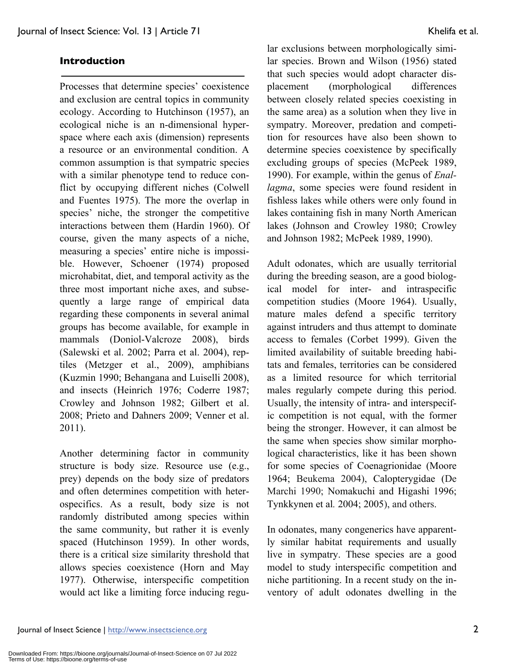#### **Introduction**

Processes that determine species' coexistence and exclusion are central topics in community ecology. According to Hutchinson (1957), an ecological niche is an n-dimensional hyperspace where each axis (dimension) represents a resource or an environmental condition. A common assumption is that sympatric species with a similar phenotype tend to reduce conflict by occupying different niches (Colwell and Fuentes 1975). The more the overlap in species' niche, the stronger the competitive interactions between them (Hardin 1960). Of course, given the many aspects of a niche, measuring a species' entire niche is impossible. However, Schoener (1974) proposed microhabitat, diet, and temporal activity as the three most important niche axes, and subsequently a large range of empirical data regarding these components in several animal groups has become available, for example in mammals (Doniol-Valcroze 2008), birds (Salewski et al. 2002; Parra et al. 2004), reptiles (Metzger et al., 2009), amphibians (Kuzmin 1990; Behangana and Luiselli 2008), and insects (Heinrich 1976; Coderre 1987; Crowley and Johnson 1982; Gilbert et al. 2008; Prieto and Dahners 2009; Venner et al. 2011).

Another determining factor in community structure is body size. Resource use (e.g., prey) depends on the body size of predators and often determines competition with heterospecifics. As a result, body size is not randomly distributed among species within the same community, but rather it is evenly spaced (Hutchinson 1959). In other words, there is a critical size similarity threshold that allows species coexistence (Horn and May 1977). Otherwise, interspecific competition would act like a limiting force inducing regular exclusions between morphologically similar species. Brown and Wilson (1956) stated that such species would adopt character displacement (morphological differences between closely related species coexisting in the same area) as a solution when they live in sympatry. Moreover, predation and competition for resources have also been shown to determine species coexistence by specifically excluding groups of species (McPeek 1989, 1990). For example, within the genus of *Enallagma*, some species were found resident in fishless lakes while others were only found in lakes containing fish in many North American lakes (Johnson and Crowley 1980; Crowley and Johnson 1982; McPeek 1989, 1990).

Adult odonates, which are usually territorial during the breeding season, are a good biological model for inter- and intraspecific competition studies (Moore 1964). Usually, mature males defend a specific territory against intruders and thus attempt to dominate access to females (Corbet 1999). Given the limited availability of suitable breeding habitats and females, territories can be considered as a limited resource for which territorial males regularly compete during this period. Usually, the intensity of intra- and interspecific competition is not equal, with the former being the stronger. However, it can almost be the same when species show similar morphological characteristics, like it has been shown for some species of Coenagrionidae (Moore 1964; Beukema 2004), Calopterygidae (De Marchi 1990; Nomakuchi and Higashi 1996; Tynkkynen et al*.* 2004; 2005), and others.

In odonates, many congenerics have apparently similar habitat requirements and usually live in sympatry. These species are a good model to study interspecific competition and niche partitioning. In a recent study on the inventory of adult odonates dwelling in the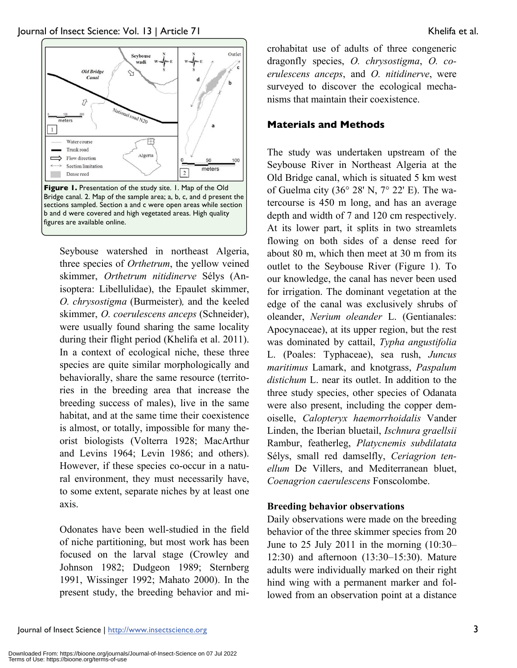

Seybouse watershed in northeast Algeria, three species of *Orthetrum*, the yellow veined skimmer, *Orthetrum nitidinerve* Sélys (Anisoptera: Libellulidae), the Epaulet skimmer, *O. chrysostigma* (Burmeister)*,* and the keeled skimmer, *O. coerulescens anceps* (Schneider), were usually found sharing the same locality during their flight period (Khelifa et al. 2011). In a context of ecological niche, these three species are quite similar morphologically and behaviorally, share the same resource (territories in the breeding area that increase the breeding success of males), live in the same habitat, and at the same time their coexistence is almost, or totally, impossible for many theorist biologists (Volterra 1928; MacArthur and Levins 1964; Levin 1986; and others). However, if these species co-occur in a natural environment, they must necessarily have, to some extent, separate niches by at least one axis.

Odonates have been well-studied in the field of niche partitioning, but most work has been focused on the larval stage (Crowley and Johnson 1982; Dudgeon 1989; Sternberg 1991, Wissinger 1992; Mahato 2000). In the present study, the breeding behavior and microhabitat use of adults of three congeneric dragonfly species, *O. chrysostigma*, *O. coerulescens anceps*, and *O. nitidinerve*, were surveyed to discover the ecological mechanisms that maintain their coexistence.

#### **Materials and Methods**

The study was undertaken upstream of the Seybouse River in Northeast Algeria at the Old Bridge canal, which is situated 5 km west of Guelma city (36° 28' N, 7° 22' E). The watercourse is 450 m long, and has an average depth and width of 7 and 120 cm respectively. At its lower part, it splits in two streamlets flowing on both sides of a dense reed for about 80 m, which then meet at 30 m from its outlet to the Seybouse River (Figure 1). To our knowledge, the canal has never been used for irrigation. The dominant vegetation at the edge of the canal was exclusively shrubs of oleander, *Nerium oleander* L. (Gentianales: Apocynaceae), at its upper region, but the rest was dominated by cattail, *Typha angustifolia* L. (Poales: Typhaceae), sea rush, *Juncus maritimus* Lamark, and knotgrass, *Paspalum distichum* L. near its outlet. In addition to the three study species, other species of Odanata were also present, including the copper demoiselle, *Calopteryx haemorrhoidalis* Vander Linden, the Iberian bluetail, *Ischnura graellsii*  Rambur, featherleg, *Platycnemis subdilatata*  Sélys, small red damselfly, *Ceriagrion tenellum* De Villers, and Mediterranean bluet, *Coenagrion caerulescens* Fonscolombe.

#### **Breeding behavior observations**

Daily observations were made on the breeding behavior of the three skimmer species from 20 June to 25 July 2011 in the morning (10:30– 12:30) and afternoon (13:30–15:30). Mature adults were individually marked on their right hind wing with a permanent marker and followed from an observation point at a distance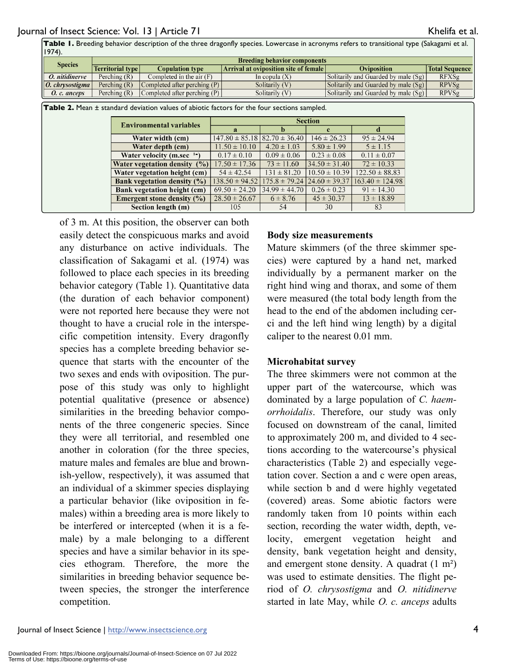| Table 1. Breeding behavior description of the three dragonfly species. Lowercase in acronyms refers to transitional type (Sakagami et al.<br>$1974$ ). |                         |                                     |                                              |                                     |                       |  |  |
|--------------------------------------------------------------------------------------------------------------------------------------------------------|-------------------------|-------------------------------------|----------------------------------------------|-------------------------------------|-----------------------|--|--|
| <b>Species</b>                                                                                                                                         |                         | <b>Breeding behavior components</b> |                                              |                                     |                       |  |  |
|                                                                                                                                                        | <b>Territorial type</b> | <b>Copulation type</b>              | <b>Arrival at oviposition site of female</b> | <b>Oviposition</b>                  | <b>Total Sequence</b> |  |  |
| O. nitidinerve                                                                                                                                         | Perching $(R)$          | Completed in the air $(F)$          | In copula $(X)$                              | Solitarily and Guarded by male (Sg) | <b>RFXSg</b>          |  |  |
| $0.$ chrysostigma                                                                                                                                      | Perching $(R)$          | Completed after perching $(P)$      | Solitarily (V)                               | Solitarily and Guarded by male (Sg) | <b>RPVSg</b>          |  |  |
| O. c. anceps                                                                                                                                           | Perching $(R)$          | Completed after perching $(P)$      | Solitarily (V)                               | Solitarily and Guarded by male (Sg) | <b>RPVSg</b>          |  |  |
|                                                                                                                                                        |                         |                                     |                                              |                                     |                       |  |  |

| <b>Table 2.</b> Mean ± standard deviation values of abiotic factors for the four sections sampled. |                                    |                                        |                   |                                                   |                     |
|----------------------------------------------------------------------------------------------------|------------------------------------|----------------------------------------|-------------------|---------------------------------------------------|---------------------|
|                                                                                                    | <b>Environmental variables</b>     | <b>Section</b>                         |                   |                                                   |                     |
|                                                                                                    |                                    | я                                      |                   |                                                   |                     |
|                                                                                                    | Water width (cm)                   | $147.80 \pm 85.18$   82.70 $\pm$ 36.40 |                   | $146 \pm 26.23$                                   | $95 \pm 24.94$      |
|                                                                                                    | Water depth (cm)                   | $11.50 \pm 10.10$                      | $4.20 \pm 1.03$   | $5.80 \pm 1.99$                                   | $5 \pm 1.15$        |
|                                                                                                    | Water velocity (m.sec $1-$ )       | $0.17 \pm 0.10$                        | $0.09 \pm 0.06$   | $0.23 \pm 0.08$                                   | $0.11 \pm 0.07$     |
|                                                                                                    | Water vegetation density $(\%)$    | $17.50 \pm 17.36$                      | $73 \pm 11.60$    | $34.50 \pm 31.40$                                 | $72 \pm 10.33$      |
|                                                                                                    | Water vegetation height (cm)       | $54 \pm 42.54$                         | $131 \pm 81.20$   | $10.50 \pm 10.39$                                 | $122.50 \pm 88.83$  |
|                                                                                                    | Bank vegetation density $(\%)$     | $138.50 \pm 94.52$                     |                   | $175.8 \pm 79.24 \,   \, 24.60 \pm 39.37 \,   \,$ | $163.40 \pm 124.98$ |
|                                                                                                    | <b>Bank vegetation height (cm)</b> | $69.50 \pm 24.20$                      | $34.99 \pm 44.70$ | $0.26 \pm 0.23$                                   | $91 \pm 14.30$      |
|                                                                                                    | Emergent stone density $(\% )$     | $28.50 \pm 26.67$                      | $6 \pm 8.76$      | $45 \pm 30.37$                                    | $13 \pm 18.89$      |
|                                                                                                    | Section length (m)                 | 105                                    | 54                | 30                                                | 83                  |

of 3 m. At this position, the observer can both easily detect the conspicuous marks and avoid any disturbance on active individuals. The classification of Sakagami et al. (1974) was followed to place each species in its breeding behavior category (Table 1). Quantitative data (the duration of each behavior component) were not reported here because they were not thought to have a crucial role in the interspecific competition intensity. Every dragonfly species has a complete breeding behavior sequence that starts with the encounter of the two sexes and ends with oviposition. The purpose of this study was only to highlight potential qualitative (presence or absence) similarities in the breeding behavior components of the three congeneric species. Since they were all territorial, and resembled one another in coloration (for the three species, mature males and females are blue and brownish-yellow, respectively), it was assumed that an individual of a skimmer species displaying a particular behavior (like oviposition in females) within a breeding area is more likely to be interfered or intercepted (when it is a female) by a male belonging to a different species and have a similar behavior in its species ethogram. Therefore, the more the similarities in breeding behavior sequence between species, the stronger the interference competition.

#### **Body size measurements**

Mature skimmers (of the three skimmer species) were captured by a hand net, marked individually by a permanent marker on the right hind wing and thorax, and some of them were measured (the total body length from the head to the end of the abdomen including cerci and the left hind wing length) by a digital caliper to the nearest 0.01 mm.

#### **Microhabitat survey**

The three skimmers were not common at the upper part of the watercourse, which was dominated by a large population of *C. haemorrhoidalis*. Therefore, our study was only focused on downstream of the canal, limited to approximately 200 m, and divided to 4 sections according to the watercourse's physical characteristics (Table 2) and especially vegetation cover. Section a and c were open areas, while section b and d were highly vegetated (covered) areas. Some abiotic factors were randomly taken from 10 points within each section, recording the water width, depth, velocity, emergent vegetation height and density, bank vegetation height and density, and emergent stone density. A quadrat (1 m²) was used to estimate densities. The flight period of *O. chrysostigma* and *O. nitidinerve* started in late May, while *O. c. anceps* adults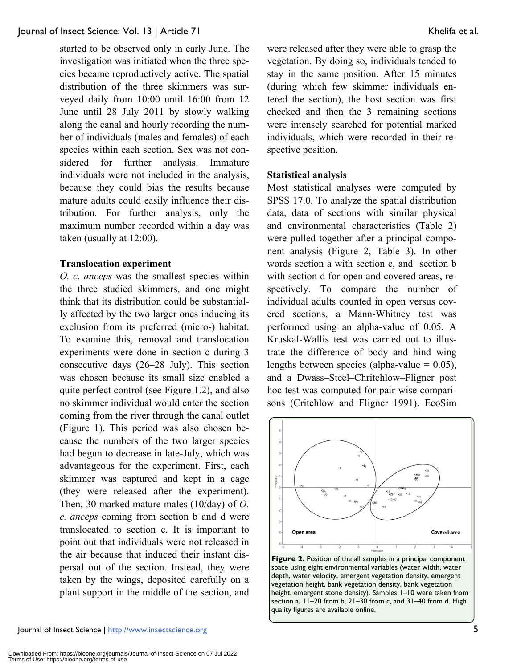started to be observed only in early June. The investigation was initiated when the three species became reproductively active. The spatial distribution of the three skimmers was surveyed daily from 10:00 until 16:00 from 12 June until 28 July 2011 by slowly walking along the canal and hourly recording the number of individuals (males and females) of each species within each section. Sex was not considered for further analysis. Immature individuals were not included in the analysis, because they could bias the results because mature adults could easily influence their distribution. For further analysis, only the maximum number recorded within a day was taken (usually at 12:00).

#### **Translocation experiment**

*O. c. anceps* was the smallest species within the three studied skimmers, and one might think that its distribution could be substantially affected by the two larger ones inducing its exclusion from its preferred (micro-) habitat. To examine this, removal and translocation experiments were done in section c during 3 consecutive days (26–28 July). This section was chosen because its small size enabled a quite perfect control (see Figure 1.2), and also no skimmer individual would enter the section coming from the river through the canal outlet (Figure 1). This period was also chosen because the numbers of the two larger species had begun to decrease in late-July, which was advantageous for the experiment. First, each skimmer was captured and kept in a cage (they were released after the experiment). Then, 30 marked mature males (10/day) of *O. c. anceps* coming from section b and d were translocated to section c. It is important to point out that individuals were not released in the air because that induced their instant dispersal out of the section. Instead, they were taken by the wings, deposited carefully on a plant support in the middle of the section, and were released after they were able to grasp the vegetation. By doing so, individuals tended to stay in the same position. After 15 minutes (during which few skimmer individuals entered the section), the host section was first checked and then the 3 remaining sections were intensely searched for potential marked individuals, which were recorded in their respective position.

# **Statistical analysis**

Most statistical analyses were computed by SPSS 17.0. To analyze the spatial distribution data, data of sections with similar physical and environmental characteristics (Table 2) were pulled together after a principal component analysis (Figure 2, Table 3). In other words section a with section c, and section b with section d for open and covered areas, respectively. To compare the number of individual adults counted in open versus covered sections, a Mann-Whitney test was performed using an alpha-value of 0.05. A Kruskal-Wallis test was carried out to illustrate the difference of body and hind wing lengths between species (alpha-value  $= 0.05$ ), and a Dwass–Steel–Chritchlow–Fligner post hoc test was computed for pair-wise comparisons (Critchlow and Fligner 1991). EcoSim



quality figures are available online.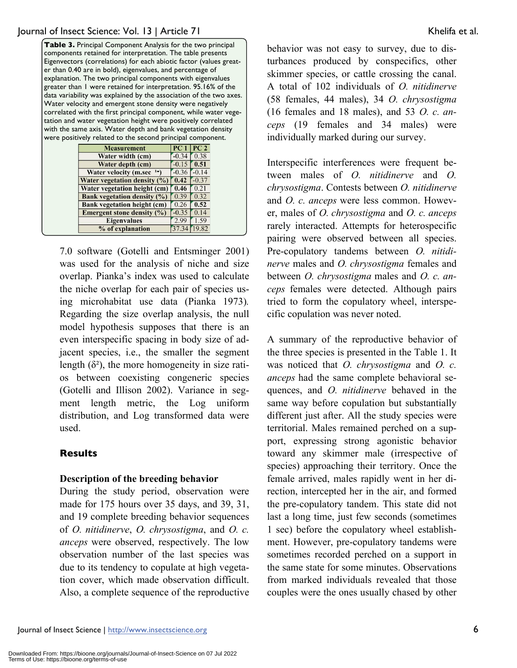| Table 3. Principal Component Analysis for the two principal        |
|--------------------------------------------------------------------|
| components retained for interpretation. The table presents         |
| Eigenvectors (correlations) for each abiotic factor (values great- |
| er than 0.40 are in bold), eigenvalues, and percentage of          |
| explanation. The two principal components with eigenvalues         |
| greater than 1 were retained for interpretation. 95.16% of the     |
| data variability was explained by the association of the two axes. |
| Water velocity and emergent stone density were negatively          |
| correlated with the first principal component, while water vege-   |
| tation and water vegetation height were positively correlated      |
| with the same axis. Water depth and bank vegetation density        |
| were positively related to the second principal component.         |
|                                                                    |

| <b>Measurement</b>                    | PC <sub>1</sub> | PC <sub>2</sub> |
|---------------------------------------|-----------------|-----------------|
| Water width (cm)                      | $-0.34$         | 0.38            |
| Water depth (cm)                      | $-0.15$         | 0.51            |
| <b>Water velocity (m.sec)</b><br>$1-$ | $-0.36$         | $-0.14$         |
| Water vegetation density (%)          | 0.42            | $-0.37$         |
| Water vegetation height (cm)          | 0.46            | 0.21            |
| <b>Bank vegetation density (%)</b>    | 0.39            | 0.32            |
| <b>Bank vegetation height (cm)</b>    | 0.26            | 0.52            |
| <b>Emergent stone density (%)</b>     | $-0.35$         | 0.14            |
| <b>Eigenvalues</b>                    | 2.99            | 1.59            |
| % of explanation                      |                 | 19.82           |

7.0 software (Gotelli and Entsminger 2001) was used for the analysis of niche and size overlap. Pianka's index was used to calculate the niche overlap for each pair of species using microhabitat use data (Pianka 1973)*.* Regarding the size overlap analysis, the null model hypothesis supposes that there is an even interspecific spacing in body size of adjacent species, i.e., the smaller the segment length  $(\delta^2)$ , the more homogeneity in size ratios between coexisting congeneric species (Gotelli and Illison 2002). Variance in segment length metric, the Log uniform distribution, and Log transformed data were used.

# **Results**

# **Description of the breeding behavior**

During the study period, observation were made for 175 hours over 35 days, and 39, 31, and 19 complete breeding behavior sequences of *O. nitidinerve*, *O. chrysostigma*, and *O. c. anceps* were observed, respectively. The low observation number of the last species was due to its tendency to copulate at high vegetation cover, which made observation difficult. Also, a complete sequence of the reproductive behavior was not easy to survey, due to disturbances produced by conspecifics, other skimmer species, or cattle crossing the canal. A total of 102 individuals of *O. nitidinerve* (58 females, 44 males), 34 *O. chrysostigma* (16 females and 18 males), and 53 *O. c. anceps* (19 females and 34 males) were individually marked during our survey.

Interspecific interferences were frequent between males of *O. nitidinerve* and *O. chrysostigma*. Contests between *O. nitidinerve*  and *O. c. anceps* were less common. However, males of *O. chrysostigma* and *O. c. anceps* rarely interacted. Attempts for heterospecific pairing were observed between all species. Pre-copulatory tandems between *O. nitidinerve* males and *O. chrysostigma* females and between *O. chrysostigma* males and *O. c. anceps* females were detected. Although pairs tried to form the copulatory wheel, interspecific copulation was never noted.

A summary of the reproductive behavior of the three species is presented in the Table 1. It was noticed that *O. chrysostigma* and *O. c. anceps* had the same complete behavioral sequences, and *O. nitidinerve* behaved in the same way before copulation but substantially different just after. All the study species were territorial. Males remained perched on a support, expressing strong agonistic behavior toward any skimmer male (irrespective of species) approaching their territory. Once the female arrived, males rapidly went in her direction, intercepted her in the air, and formed the pre-copulatory tandem. This state did not last a long time, just few seconds (sometimes 1 sec) before the copulatory wheel establishment. However, pre-copulatory tandems were sometimes recorded perched on a support in the same state for some minutes. Observations from marked individuals revealed that those couples were the ones usually chased by other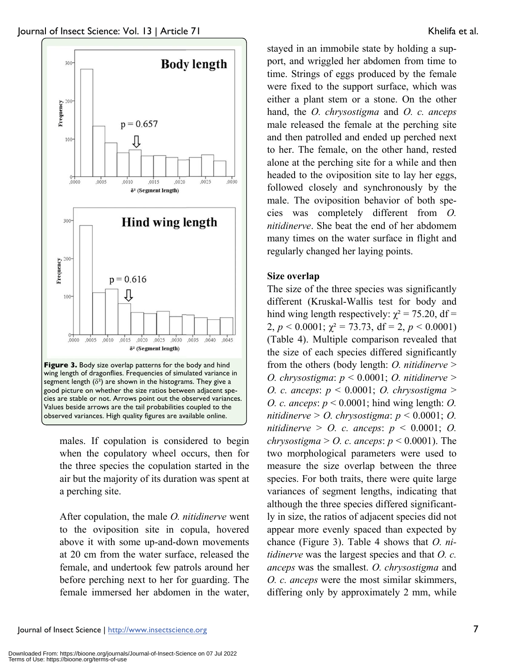

males. If copulation is considered to begin when the copulatory wheel occurs, then for the three species the copulation started in the air but the majority of its duration was spent at a perching site.

After copulation, the male *O. nitidinerve* went to the oviposition site in copula, hovered above it with some up-and-down movements at 20 cm from the water surface, released the female, and undertook few patrols around her before perching next to her for guarding. The female immersed her abdomen in the water,

stayed in an immobile state by holding a support, and wriggled her abdomen from time to time. Strings of eggs produced by the female were fixed to the support surface, which was either a plant stem or a stone. On the other hand, the *O. chrysostigma* and *O. c. anceps*  male released the female at the perching site and then patrolled and ended up perched next to her. The female, on the other hand, rested alone at the perching site for a while and then headed to the oviposition site to lay her eggs, followed closely and synchronously by the male. The oviposition behavior of both species was completely different from *O. nitidinerve*. She beat the end of her abdomem many times on the water surface in flight and regularly changed her laying points.

# **Size overlap**

The size of the three species was significantly different (Kruskal-Wallis test for body and hind wing length respectively:  $\chi^2 = 75.20$ , df = 2,  $p < 0.0001$ ;  $\chi^2 = 73.73$ , df = 2,  $p < 0.0001$ ) (Table 4). Multiple comparison revealed that the size of each species differed significantly from the others (body length: *O. nitidinerve* > *O. chrysostigma*: *p* < 0.0001; *O. nitidinerve* > *O. c. anceps*: *p* < 0.0001; *O. chrysostigma* > *O. c. anceps*: *p* < 0.0001; hind wing length: *O. nitidinerve* > *O. chrysostigma*: *p* < 0.0001; *O. nitidinerve* > *O. c. anceps*: *p* < 0.0001; *O. chrysostigma*  $>$  *O. c. anceps: p*  $<$  0.0001). The two morphological parameters were used to measure the size overlap between the three species. For both traits, there were quite large variances of segment lengths, indicating that although the three species differed significantly in size, the ratios of adjacent species did not appear more evenly spaced than expected by chance (Figure 3). Table 4 shows that *O. nitidinerve* was the largest species and that *O. c. anceps* was the smallest. *O. chrysostigma* and *O. c. anceps* were the most similar skimmers, differing only by approximately 2 mm, while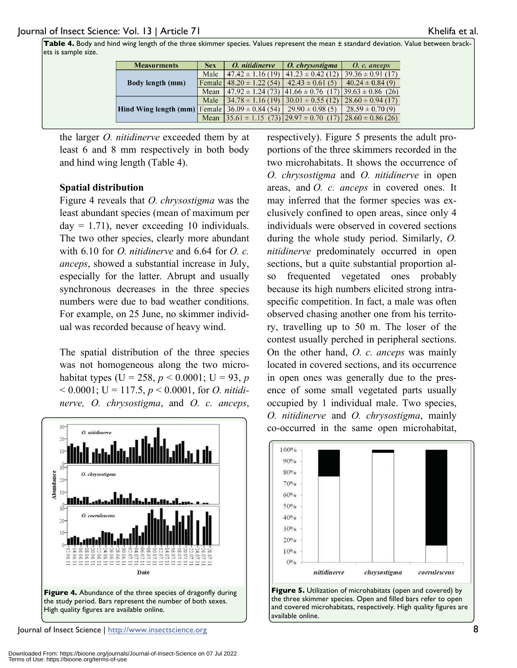**Table 4.** Body and hind wing length of the three skimmer species. Values represent the mean ± standard deviation. Value between brackets is sample size.

| <b>Measurments</b>                                        | <b>Sex</b> | O. nitidinerve                                                          | O. chrysostigma                                                        | O. c. anceps          |
|-----------------------------------------------------------|------------|-------------------------------------------------------------------------|------------------------------------------------------------------------|-----------------------|
|                                                           | Male       | $47.42 \pm 1.16(19)$                                                    | $41.23 \pm 0.42$ (12)                                                  | $139.36 \pm 0.91(17)$ |
| <b>Body length (mm)</b>                                   |            | Female   $48.20 \pm 1.22$ (54)                                          | $42.43 \pm 0.61(5)$                                                    | $40.24 \pm 0.84(9)$   |
|                                                           | Mean       |                                                                         | $(47.92 \pm 1.24(73) \,   41.66 \pm 0.76(17) \,   39.63 \pm 0.86(26))$ |                       |
|                                                           | Male       | $34.78 \pm 1.16(19)$                                                    | $130.01 \pm 0.55(12)$                                                  | $28.60 \pm 0.94(17)$  |
| <b>Hind Wing length (mm)</b> Female $36.09 \pm 0.84$ (54) |            |                                                                         | $29.90 \pm 0.98(5)$                                                    | $28.59 \pm 0.70(9)$   |
|                                                           | Mean       | $\left[35.61 \pm 1.15 \right]$ (73) $\left[29.97 \pm 0.70 \right]$ (17) |                                                                        | $28.60 \pm 0.86$ (26) |

the larger *O. nitidinerve* exceeded them by at least 6 and 8 mm respectively in both body and hind wing length (Table 4).

#### **Spatial distribution**

Figure 4 reveals that *O. chrysostigma* was the least abundant species (mean of maximum per day  $= 1.71$ ), never exceeding 10 individuals. The two other species, clearly more abundant with 6.10 for *O. nitidinerve* and 6.64 for *O. c. anceps*, showed a substantial increase in July, especially for the latter. Abrupt and usually synchronous decreases in the three species numbers were due to bad weather conditions. For example, on 25 June, no skimmer individual was recorded because of heavy wind.

The spatial distribution of the three species was not homogeneous along the two microhabitat types (U = 258,  $p < 0.0001$ ; U = 93,  $p$  $< 0.0001$ ; U = 117.5, *p*  $< 0.0001$ , for *O. nitidinerve, O. chrysostigma*, and *O. c. anceps*,



Journal of Insect Science | http://www.insectscience.org 8

respectively). Figure 5 presents the adult proportions of the three skimmers recorded in the two microhabitats. It shows the occurrence of *O. chrysostigma* and *O. nitidinerve* in open areas, and *O. c. anceps* in covered ones. It may inferred that the former species was exclusively confined to open areas, since only 4 individuals were observed in covered sections during the whole study period. Similarly, *O. nitidinerve* predominately occurred in open sections, but a quite substantial proportion also frequented vegetated ones probably because its high numbers elicited strong intraspecific competition. In fact, a male was often observed chasing another one from his territory, travelling up to 50 m. The loser of the contest usually perched in peripheral sections. On the other hand, *O. c. anceps* was mainly located in covered sections, and its occurrence in open ones was generally due to the presence of some small vegetated parts usually occupied by 1 individual male. Two species, *O. nitidinerve* and *O. chrysostigma*, mainly co-occurred in the same open microhabitat,



**Figure 5.** Utilization of microhabitats (open and covered) by the three skimmer species. Open and filled bars refer to open and covered microhabitats, respectively. High quality figures are available online.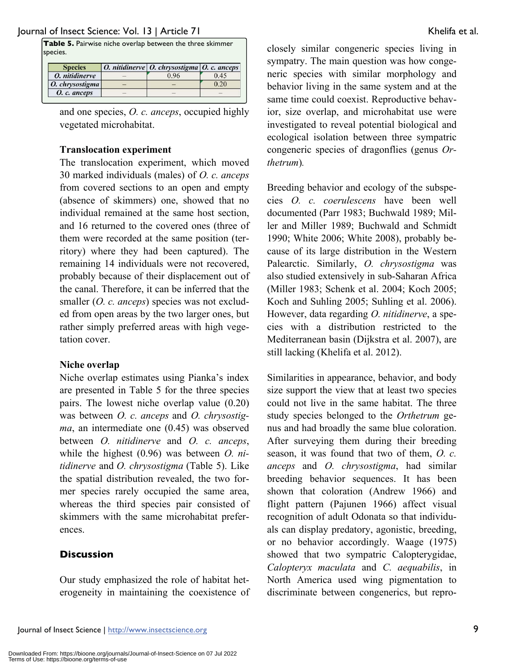**Table 5.** Pairwise niche overlap between the three skimmer species.

| <b>Species</b>  | O. nitidinerve   O. chrysostigma   O. c. anceps |      |  |
|-----------------|-------------------------------------------------|------|--|
| O. nitidinerve  | 0.96                                            | 0.45 |  |
| O. chrysostigma |                                                 | 0.20 |  |
| O. c. anceps    |                                                 |      |  |

and one species, *O. c. anceps*, occupied highly vegetated microhabitat.

#### **Translocation experiment**

The translocation experiment, which moved 30 marked individuals (males) of *O. c. anceps* from covered sections to an open and empty (absence of skimmers) one, showed that no individual remained at the same host section, and 16 returned to the covered ones (three of them were recorded at the same position (territory) where they had been captured). The remaining 14 individuals were not recovered, probably because of their displacement out of the canal. Therefore, it can be inferred that the smaller (*O. c. anceps*) species was not excluded from open areas by the two larger ones, but rather simply preferred areas with high vegetation cover.

#### **Niche overlap**

Niche overlap estimates using Pianka's index are presented in Table 5 for the three species pairs. The lowest niche overlap value (0.20) was between *O. c. anceps* and *O. chrysostigma*, an intermediate one (0.45) was observed between *O. nitidinerve* and *O. c. anceps*, while the highest (0.96) was between *O. nitidinerve* and *O. chrysostigma* (Table 5). Like the spatial distribution revealed, the two former species rarely occupied the same area, whereas the third species pair consisted of skimmers with the same microhabitat preferences.

# **Discussion**

Our study emphasized the role of habitat heterogeneity in maintaining the coexistence of closely similar congeneric species living in sympatry. The main question was how congeneric species with similar morphology and behavior living in the same system and at the same time could coexist. Reproductive behavior, size overlap, and microhabitat use were investigated to reveal potential biological and ecological isolation between three sympatric congeneric species of dragonflies (genus *Orthetrum*)*.* 

Breeding behavior and ecology of the subspecies *O. c. coerulescens* have been well documented (Parr 1983; Buchwald 1989; Miller and Miller 1989; Buchwald and Schmidt 1990; White 2006; White 2008), probably because of its large distribution in the Western Palearctic. Similarly, *O. chrysostigma* was also studied extensively in sub-Saharan Africa (Miller 1983; Schenk et al. 2004; Koch 2005; Koch and Suhling 2005; Suhling et al. 2006). However, data regarding *O. nitidinerve*, a species with a distribution restricted to the Mediterranean basin (Dijkstra et al. 2007), are still lacking (Khelifa et al. 2012).

Similarities in appearance, behavior, and body size support the view that at least two species could not live in the same habitat. The three study species belonged to the *Orthetrum* genus and had broadly the same blue coloration. After surveying them during their breeding season, it was found that two of them, *O. c. anceps* and *O. chrysostigma*, had similar breeding behavior sequences. It has been shown that coloration (Andrew 1966) and flight pattern (Pajunen 1966) affect visual recognition of adult Odonata so that individuals can display predatory, agonistic, breeding, or no behavior accordingly. Waage (1975) showed that two sympatric Calopterygidae, *Calopteryx maculata* and *C. aequabilis*, in North America used wing pigmentation to discriminate between congenerics, but repro-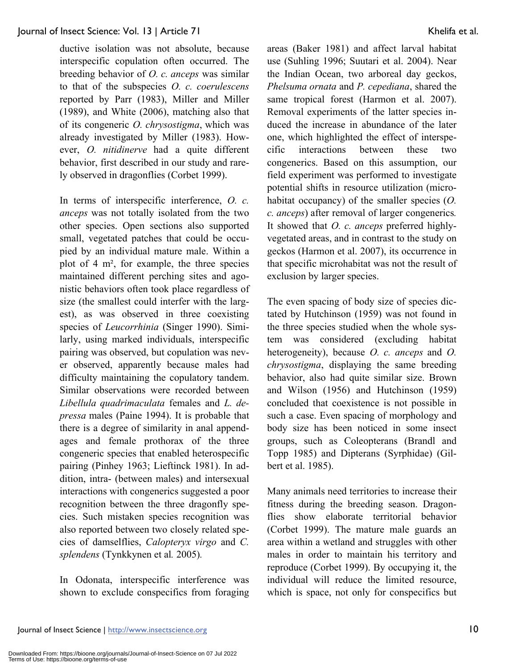ductive isolation was not absolute, because interspecific copulation often occurred. The breeding behavior of *O. c. anceps* was similar to that of the subspecies *O. c. coerulescens* reported by Parr (1983), Miller and Miller (1989), and White (2006), matching also that of its congeneric *O. chrysostigma*, which was already investigated by Miller (1983). However, *O. nitidinerve* had a quite different behavior, first described in our study and rarely observed in dragonflies (Corbet 1999).

In terms of interspecific interference, *O. c. anceps* was not totally isolated from the two other species. Open sections also supported small, vegetated patches that could be occupied by an individual mature male. Within a plot of 4 m², for example, the three species maintained different perching sites and agonistic behaviors often took place regardless of size (the smallest could interfer with the largest), as was observed in three coexisting species of *Leucorrhinia* (Singer 1990). Similarly, using marked individuals, interspecific pairing was observed, but copulation was never observed, apparently because males had difficulty maintaining the copulatory tandem. Similar observations were recorded between *Libellula quadrimaculata* females and *L. depressa* males (Paine 1994). It is probable that there is a degree of similarity in anal appendages and female prothorax of the three congeneric species that enabled heterospecific pairing (Pinhey 1963; Lieftinck 1981). In addition, intra- (between males) and intersexual interactions with congenerics suggested a poor recognition between the three dragonfly species. Such mistaken species recognition was also reported between two closely related species of damselflies, *Calopteryx virgo* and *C. splendens* (Tynkkynen et al*.* 2005)*.* 

In Odonata, interspecific interference was shown to exclude conspecifics from foraging areas (Baker 1981) and affect larval habitat use (Suhling 1996; Suutari et al. 2004). Near the Indian Ocean, two arboreal day geckos, *Phelsuma ornata* and *P. cepediana*, shared the same tropical forest (Harmon et al. 2007). Removal experiments of the latter species induced the increase in abundance of the later one, which highlighted the effect of interspecific interactions between these two congenerics. Based on this assumption, our field experiment was performed to investigate potential shifts in resource utilization (microhabitat occupancy) of the smaller species (*O. c. anceps*) after removal of larger congenerics*.*  It showed that *O. c. anceps* preferred highlyvegetated areas, and in contrast to the study on geckos (Harmon et al. 2007), its occurrence in that specific microhabitat was not the result of exclusion by larger species.

The even spacing of body size of species dictated by Hutchinson (1959) was not found in the three species studied when the whole system was considered (excluding habitat heterogeneity), because *O. c. anceps* and *O. chrysostigma*, displaying the same breeding behavior, also had quite similar size. Brown and Wilson (1956) and Hutchinson (1959) concluded that coexistence is not possible in such a case. Even spacing of morphology and body size has been noticed in some insect groups, such as Coleopterans (Brandl and Topp 1985) and Dipterans (Syrphidae) (Gilbert et al. 1985).

Many animals need territories to increase their fitness during the breeding season. Dragonflies show elaborate territorial behavior (Corbet 1999). The mature male guards an area within a wetland and struggles with other males in order to maintain his territory and reproduce (Corbet 1999). By occupying it, the individual will reduce the limited resource, which is space, not only for conspecifics but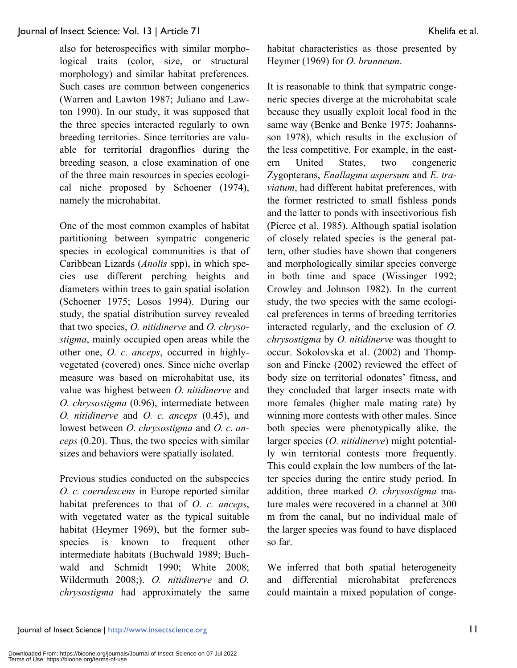also for heterospecifics with similar morphological traits (color, size, or structural morphology) and similar habitat preferences. Such cases are common between congenerics (Warren and Lawton 1987; Juliano and Lawton 1990). In our study, it was supposed that the three species interacted regularly to own breeding territories. Since territories are valuable for territorial dragonflies during the breeding season, a close examination of one of the three main resources in species ecological niche proposed by Schoener (1974), namely the microhabitat.

One of the most common examples of habitat partitioning between sympatric congeneric species in ecological communities is that of Caribbean Lizards (*Anolis* spp), in which species use different perching heights and diameters within trees to gain spatial isolation (Schoener 1975; Losos 1994). During our study, the spatial distribution survey revealed that two species, *O. nitidinerve* and *O. chrysostigma*, mainly occupied open areas while the other one, *O. c. anceps*, occurred in highlyvegetated (covered) ones. Since niche overlap measure was based on microhabitat use, its value was highest between *O. nitidinerve* and *O. chrysostigma* (0.96), intermediate between *O. nitidinerve* and *O. c. anceps* (0.45), and lowest between *O. chrysostigma* and *O. c. anceps* (0.20). Thus, the two species with similar sizes and behaviors were spatially isolated.

Previous studies conducted on the subspecies *O. c. coerulescens* in Europe reported similar habitat preferences to that of *O. c. anceps*, with vegetated water as the typical suitable habitat (Heymer 1969), but the former subspecies is known to frequent other intermediate habitats (Buchwald 1989; Buchwald and Schmidt 1990; White 2008; Wildermuth 2008;). *O. nitidinerve* and *O. chrysostigma* had approximately the same

habitat characteristics as those presented by Heymer (1969) for *O. brunneum*.

It is reasonable to think that sympatric congeneric species diverge at the microhabitat scale because they usually exploit local food in the same way (Benke and Benke 1975; Joahannsson 1978), which results in the exclusion of the less competitive. For example, in the eastern United States, two congeneric Zygopterans, *Enallagma aspersum* and *E. traviatum*, had different habitat preferences, with the former restricted to small fishless ponds and the latter to ponds with insectivorious fish (Pierce et al. 1985). Although spatial isolation of closely related species is the general pattern, other studies have shown that congeners and morphologically similar species converge in both time and space (Wissinger 1992; Crowley and Johnson 1982). In the current study, the two species with the same ecological preferences in terms of breeding territories interacted regularly, and the exclusion of *O. chrysostigma* by *O. nitidinerve* was thought to occur. Sokolovska et al. (2002) and Thompson and Fincke (2002) reviewed the effect of body size on territorial odonates' fitness, and they concluded that larger insects mate with more females (higher male mating rate) by winning more contests with other males. Since both species were phenotypically alike, the larger species (*O. nitidinerve*) might potentially win territorial contests more frequently. This could explain the low numbers of the latter species during the entire study period. In addition, three marked *O. chrysostigma* mature males were recovered in a channel at 300 m from the canal, but no individual male of the larger species was found to have displaced so far.

We inferred that both spatial heterogeneity and differential microhabitat preferences could maintain a mixed population of conge-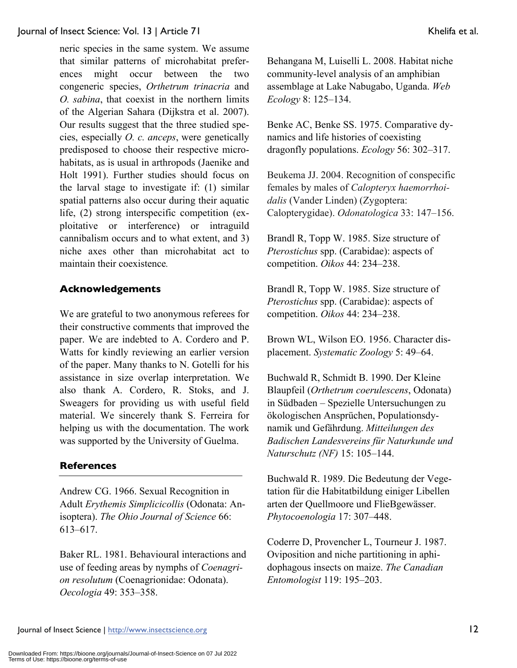neric species in the same system. We assume that similar patterns of microhabitat preferences might occur between the two congeneric species, *Orthetrum trinacria* and *O. sabina*, that coexist in the northern limits of the Algerian Sahara (Dijkstra et al. 2007). Our results suggest that the three studied species, especially *O. c. anceps*, were genetically predisposed to choose their respective microhabitats, as is usual in arthropods (Jaenike and Holt 1991). Further studies should focus on the larval stage to investigate if: (1) similar spatial patterns also occur during their aquatic life, (2) strong interspecific competition (exploitative or interference) or intraguild cannibalism occurs and to what extent, and 3) niche axes other than microhabitat act to maintain their coexistence*.*

# **Acknowledgements**

We are grateful to two anonymous referees for their constructive comments that improved the paper. We are indebted to A. Cordero and P. Watts for kindly reviewing an earlier version of the paper. Many thanks to N. Gotelli for his assistance in size overlap interpretation. We also thank A. Cordero, R. Stoks, and J. Sweagers for providing us with useful field material. We sincerely thank S. Ferreira for helping us with the documentation. The work was supported by the University of Guelma.

#### **References**

Andrew CG. 1966. Sexual Recognition in Adult *Erythemis Simplicicollis* (Odonata: Anisoptera). *The Ohio Journal of Science* 66: 613–617.

Baker RL. 1981. Behavioural interactions and use of feeding areas by nymphs of *Coenagrion resolutum* (Coenagrionidae: Odonata). *Oecologia* 49: 353–358.

Behangana M, Luiselli L. 2008. Habitat niche community-level analysis of an amphibian assemblage at Lake Nabugabo, Uganda. *Web Ecology* 8: 125–134.

Benke AC, Benke SS. 1975. Comparative dynamics and life histories of coexisting dragonfly populations. *Ecology* 56: 302–317.

Beukema JJ. 2004. Recognition of conspecific females by males of *Calopteryx haemorrhoidalis* (Vander Linden) (Zygoptera: Calopterygidae). *Odonatologica* 33: 147–156.

Brandl R, Topp W. 1985. Size structure of *Pterostichus* spp. (Carabidae): aspects of competition. *Oikos* 44: 234–238.

Brandl R, Topp W. 1985. Size structure of *Pterostichus* spp. (Carabidae): aspects of competition. *Oikos* 44: 234–238.

Brown WL, Wilson EO. 1956. Character displacement. *Systematic Zoology* 5: 49–64.

Buchwald R, Schmidt B. 1990. Der Kleine Blaupfeil (*Orthetrum coerulescens*, Odonata) in Südbaden – Spezielle Untersuchungen zu ökologischen Ansprüchen, Populationsdynamik und Gefährdung. *Mitteilungen des Badischen Landesvereins für Naturkunde und Naturschutz (NF)* 15: 105–144.

Buchwald R. 1989. Die Bedeutung der Vegetation für die Habitatbildung einiger Libellen arten der Quellmoore und FlieBgewässer. *Phytocoenologia* 17: 307–448.

Coderre D, Provencher L, Tourneur J. 1987. Oviposition and niche partitioning in aphidophagous insects on maize. *The Canadian Entomologist* 119: 195–203.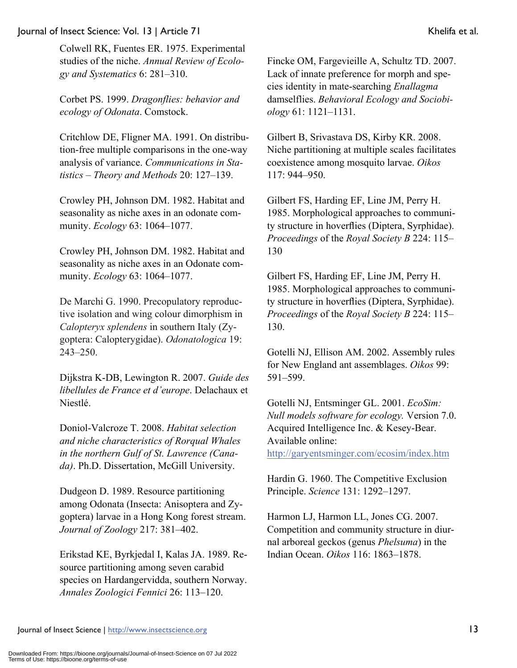Colwell RK, Fuentes ER. 1975. Experimental studies of the niche. *Annual Review of Ecology and Systematics* 6: 281–310.

Corbet PS. 1999. *Dragonflies: behavior and ecology of Odonata*. Comstock.

Critchlow DE, Fligner MA. 1991. On distribution-free multiple comparisons in the one-way analysis of variance. *Communications in Statistics – Theory and Methods* 20: 127–139.

Crowley PH, Johnson DM. 1982. Habitat and seasonality as niche axes in an odonate community. *Ecology* 63: 1064–1077.

Crowley PH, Johnson DM. 1982. Habitat and seasonality as niche axes in an Odonate community. *Ecology* 63: 1064–1077.

De Marchi G. 1990. Precopulatory reproductive isolation and wing colour dimorphism in *Calopteryx splendens* in southern Italy (Zygoptera: Calopterygidae). *Odonatologica* 19: 243–250.

Dijkstra K-DB, Lewington R. 2007. *Guide des libellules de France et d'europe*. Delachaux et Niestlé.

Doniol-Valcroze T. 2008. *Habitat selection and niche characteristics of Rorqual Whales in the northern Gulf of St. Lawrence (Canada)*. Ph.D. Dissertation, McGill University.

Dudgeon D. 1989. Resource partitioning among Odonata (Insecta: Anisoptera and Zygoptera) larvae in a Hong Kong forest stream. *Journal of Zoology* 217: 381–402.

Erikstad KE, Byrkjedal I, Kalas JA. 1989. Resource partitioning among seven carabid species on Hardangervidda, southern Norway. *Annales Zoologici Fennici* 26: 113–120.

Fincke OM, Fargevieille A, Schultz TD. 2007. Lack of innate preference for morph and species identity in mate-searching *Enallagma* damselflies. *Behavioral Ecology and Sociobiology* 61: 1121–1131.

Gilbert B, Srivastava DS, Kirby KR. 2008. Niche partitioning at multiple scales facilitates coexistence among mosquito larvae. *Oikos* 117: 944–950.

Gilbert FS, Harding EF, Line JM, Perry H. 1985. Morphological approaches to community structure in hoverflies (Diptera, Syrphidae). *Proceedings* of the *Royal Society B* 224: 115– 130

Gilbert FS, Harding EF, Line JM, Perry H. 1985. Morphological approaches to community structure in hoverflies (Diptera, Syrphidae). *Proceedings* of the *Royal Society B* 224: 115– 130.

Gotelli NJ, Ellison AM. 2002. Assembly rules for New England ant assemblages. *Oikos* 99: 591–599.

Gotelli NJ, Entsminger GL. 2001. *EcoSim: Null models software for ecology.* Version 7.0. Acquired Intelligence Inc. & Kesey-Bear. Available online: http://garyentsminger.com/ecosim/index.htm

Hardin G. 1960. The Competitive Exclusion Principle. *Science* 131: 1292–1297.

Harmon LJ, Harmon LL, Jones CG. 2007. Competition and community structure in diurnal arboreal geckos (genus *Phelsuma*) in the Indian Ocean. *Oikos* 116: 1863–1878.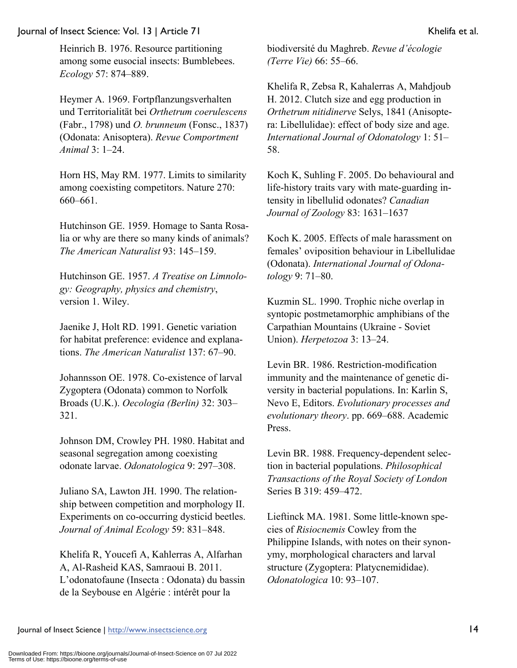Heinrich B. 1976. Resource partitioning among some eusocial insects: Bumblebees. *Ecology* 57: 874–889.

Heymer A. 1969. Fortpflanzungsverhalten und Territorialität bei *Orthetrum coerulescens* (Fabr., 1798) und *O. brunneum* (Fonsc., 1837) (Odonata: Anisoptera). *Revue Comportment Animal* 3: 1–24.

Horn HS, May RM. 1977. Limits to similarity among coexisting competitors. Nature 270: 660–661.

Hutchinson GE. 1959. Homage to Santa Rosalia or why are there so many kinds of animals? *The American Naturalist* 93: 145–159.

Hutchinson GE. 1957. *A Treatise on Limnology: Geography, physics and chemistry*, version 1. Wiley.

Jaenike J, Holt RD. 1991. Genetic variation for habitat preference: evidence and explanations. *The American Naturalist* 137: 67–90.

Johannsson OE. 1978. Co-existence of larval Zygoptera (Odonata) common to Norfolk Broads (U.K.). *Oecologia (Berlin)* 32: 303– 321.

Johnson DM, Crowley PH. 1980. Habitat and seasonal segregation among coexisting odonate larvae. *Odonatologica* 9: 297–308.

Juliano SA, Lawton JH. 1990. The relationship between competition and morphology II. Experiments on co-occurring dysticid beetles. *Journal of Animal Ecology* 59: 831–848.

Khelifa R, Youcefi A, Kahlerras A, Alfarhan A, Al-Rasheid KAS, Samraoui B. 2011. L'odonatofaune (Insecta : Odonata) du bassin de la Seybouse en Algérie : intérêt pour la

biodiversité du Maghreb. *Revue d'écologie (Terre Vie)* 66: 55–66.

Khelifa R, Zebsa R, Kahalerras A, Mahdjoub H. 2012. Clutch size and egg production in *Orthetrum nitidinerve* Selys, 1841 (Anisoptera: Libellulidae): effect of body size and age. *International Journal of Odonatology* 1: 51– 58.

Koch K, Suhling F. 2005. Do behavioural and life-history traits vary with mate-guarding intensity in libellulid odonates? *Canadian Journal of Zoology* 83: 1631–1637

Koch K. 2005. Effects of male harassment on females' oviposition behaviour in Libellulidae (Odonata). *International Journal of Odonatology* 9: 71–80.

Kuzmin SL. 1990. Trophic niche overlap in syntopic postmetamorphic amphibians of the Carpathian Mountains (Ukraine - Soviet Union). *Herpetozoa* 3: 13–24.

Levin BR. 1986. Restriction-modification immunity and the maintenance of genetic diversity in bacterial populations. In: Karlin S, Nevo E, Editors. *Evolutionary processes and evolutionary theory*. pp. 669–688. Academic Press.

Levin BR. 1988. Frequency-dependent selection in bacterial populations. *Philosophical Transactions of the Royal Society of London* Series B 319: 459–472.

Lieftinck MA. 1981. Some little-known species of *Risiocnemis* Cowley from the Philippine Islands, with notes on their synonymy, morphological characters and larval structure (Zygoptera: Platycnemididae). *Odonatologica* 10: 93–107.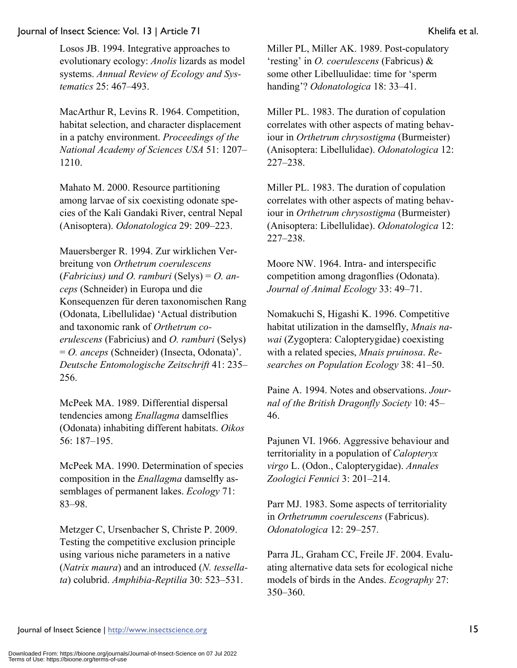Losos JB. 1994. Integrative approaches to evolutionary ecology: *Anolis* lizards as model systems. *Annual Review of Ecology and Systematics* 25: 467–493.

MacArthur R, Levins R. 1964. Competition, habitat selection, and character displacement in a patchy environment. *Proceedings of the National Academy of Sciences USA* 51: 1207– 1210.

Mahato M. 2000. Resource partitioning among larvae of six coexisting odonate species of the Kali Gandaki River, central Nepal (Anisoptera). *Odonatologica* 29: 209–223.

Mauersberger R. 1994. Zur wirklichen Verbreitung von *Orthetrum coerulescens* (*Fabricius) und O. ramburi* (Selys) = *O. anceps* (Schneider) in Europa und die Konsequenzen für deren taxonomischen Rang (Odonata, Libellulidae) 'Actual distribution and taxonomic rank of *Orthetrum coerulescens* (Fabricius) and *O. ramburi* (Selys) = *O. anceps* (Schneider) (Insecta, Odonata)'. *Deutsche Entomologische Zeitschrift* 41: 235– 256.

McPeek MA. 1989. Differential dispersal tendencies among *Enallagma* damselflies (Odonata) inhabiting different habitats. *Oikos* 56: 187–195.

McPeek MA. 1990. Determination of species composition in the *Enallagma* damselfly assemblages of permanent lakes. *Ecology* 71: 83–98.

Metzger C, Ursenbacher S, Christe P. 2009. Testing the competitive exclusion principle using various niche parameters in a native (*Natrix maura*) and an introduced (*N. tessellata*) colubrid. *Amphibia-Reptilia* 30: 523–531.

Miller PL, Miller AK. 1989. Post-copulatory 'resting' in *O. coerulescens* (Fabricus) & some other Libelluulidae: time for 'sperm handing'? *Odonatologica* 18: 33–41.

Miller PL. 1983. The duration of copulation correlates with other aspects of mating behaviour in *Orthetrum chrysostigma* (Burmeister) (Anisoptera: Libellulidae). *Odonatologica* 12: 227–238.

Miller PL. 1983. The duration of copulation correlates with other aspects of mating behaviour in *Orthetrum chrysostigma* (Burmeister) (Anisoptera: Libellulidae). *Odonatologica* 12: 227–238.

Moore NW. 1964. Intra- and interspecific competition among dragonflies (Odonata). *Journal of Animal Ecology* 33: 49–71.

Nomakuchi S, Higashi K. 1996. Competitive habitat utilization in the damselfly, *Mnais nawai* (Zygoptera: Calopterygidae) coexisting with a related species, *Mnais pruinosa*. *Researches on Population Ecology* 38: 41–50.

Paine A. 1994. Notes and observations. *Journal of the British Dragonfly Society* 10: 45– 46.

Pajunen VI. 1966. Aggressive behaviour and territoriality in a population of *Calopteryx virgo* L. (Odon., Calopterygidae). *Annales Zoologici Fennici* 3: 201–214.

Parr MJ. 1983. Some aspects of territoriality in *Orthetrumm coerulescens* (Fabricus). *Odonatologica* 12: 29–257.

Parra JL, Graham CC, Freile JF. 2004. Evaluating alternative data sets for ecological niche models of birds in the Andes. *Ecography* 27: 350–360.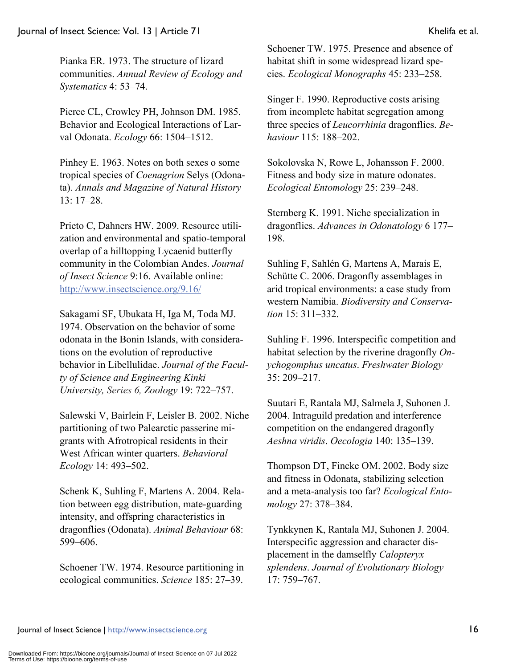Pianka ER. 1973. The structure of lizard communities. *Annual Review of Ecology and Systematics* 4: 53–74.

Pierce CL, Crowley PH, Johnson DM. 1985. Behavior and Ecological Interactions of Larval Odonata. *Ecology* 66: 1504–1512.

Pinhey E. 1963. Notes on both sexes o some tropical species of *Coenagrion* Selys (Odonata). *Annals and Magazine of Natural History* 13: 17–28.

Prieto C, Dahners HW. 2009. Resource utilization and environmental and spatio-temporal overlap of a hilltopping Lycaenid butterfly community in the Colombian Andes. *Journal of Insect Science* 9:16. Available online: http://www.insectscience.org/9.16/

Sakagami SF, Ubukata H, Iga M, Toda MJ. 1974. Observation on the behavior of some odonata in the Bonin Islands, with considerations on the evolution of reproductive behavior in Libellulidae. *Journal of the Faculty of Science and Engineering Kinki University, Series 6, Zoology* 19: 722–757.

Salewski V, Bairlein F, Leisler B. 2002. Niche partitioning of two Palearctic passerine migrants with Afrotropical residents in their West African winter quarters. *Behavioral Ecology* 14: 493–502.

Schenk K, Suhling F, Martens A. 2004. Relation between egg distribution, mate-guarding intensity, and offspring characteristics in dragonflies (Odonata). *Animal Behaviour* 68: 599–606.

Schoener TW. 1974. Resource partitioning in ecological communities. *Science* 185: 27–39.

Schoener TW. 1975. Presence and absence of habitat shift in some widespread lizard species. *Ecological Monographs* 45: 233–258.

Singer F. 1990. Reproductive costs arising from incomplete habitat segregation among three species of *Leucorrhinia* dragonflies. *Behaviour* 115: 188–202.

Sokolovska N, Rowe L, Johansson F. 2000. Fitness and body size in mature odonates. *Ecological Entomology* 25: 239–248.

Sternberg K. 1991. Niche specialization in dragonflies. *Advances in Odonatology* 6 177– 198.

Suhling F, Sahlén G, Martens A, Marais E, Schütte C. 2006. Dragonfly assemblages in arid tropical environments: a case study from western Namibia. *Biodiversity and Conservation* 15: 311–332.

Suhling F. 1996. Interspecific competition and habitat selection by the riverine dragonfly *Onychogomphus uncatus*. *Freshwater Biology* 35: 209–217.

Suutari E, Rantala MJ, Salmela J, Suhonen J. 2004. Intraguild predation and interference competition on the endangered dragonfly *Aeshna viridis*. *Oecologia* 140: 135–139.

Thompson DT, Fincke OM. 2002. Body size and fitness in Odonata, stabilizing selection and a meta-analysis too far? *Ecological Entomology* 27: 378–384.

Tynkkynen K, Rantala MJ, Suhonen J. 2004. Interspecific aggression and character displacement in the damselfly *Calopteryx splendens*. *Journal of Evolutionary Biology* 17: 759–767.